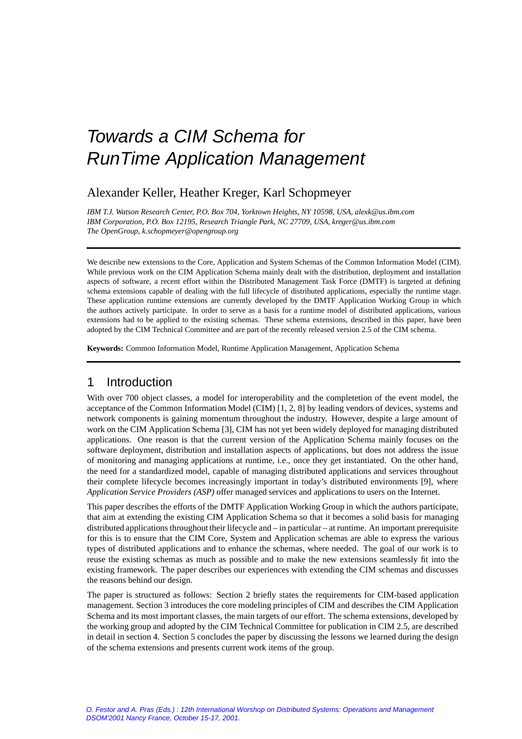## Alexander Keller, Heather Kreger, Karl Schopmeyer

*IBM T.J. Watson Research Center, P.O. Box 704, Yorktown Heights, NY 10598, USA, alexk@us.ibm.com IBM Corporation, P.O. Box 12195, Research Triangle Park, NC 27709, USA, kreger@us.ibm.com The OpenGroup, k.schopmeyer@opengroup.org*

We describe new extensions to the Core, Application and System Schemas of the Common Information Model (CIM). While previous work on the CIM Application Schema mainly dealt with the distribution, deployment and installation aspects of software, a recent effort within the Distributed Management Task Force (DMTF) is targeted at defining schema extensions capable of dealing with the full lifecycle of distributed applications, especially the runtime stage. These application runtime extensions are currently developed by the DMTF Application Working Group in which the authors actively participate. In order to serve as a basis for a runtime model of distributed applications, various extensions had to be applied to the existing schemas. These schema extensions, described in this paper, have been adopted by the CIM Technical Committee and are part of the recently released version 2.5 of the CIM schema.

**Keywords:** Common Information Model, Runtime Application Management, Application Schema

## 1 Introduction

With over 700 object classes, a model for interoperability and the completetion of the event model, the acceptance of the Common Information Model (CIM) [1, 2, 8] by leading vendors of devices, systems and network components is gaining momentum throughout the industry. However, despite a large amount of work on the CIM Application Schema [3], CIM has not yet been widely deployed for managing distributed applications. One reason is that the current version of the Application Schema mainly focuses on the software deployment, distribution and installation aspects of applications, but does not address the issue of monitoring and managing applications at runtime, i.e., once they get instantiated. On the other hand, the need for a standardized model, capable of managing distributed applications and services throughout their complete lifecycle becomes increasingly important in today's distributed environments [9], where *Application Service Providers (ASP)* offer managed services and applications to users on the Internet.

This paper describes the efforts of the DMTF Application Working Group in which the authors participate, that aim at extending the existing CIM Application Schema so that it becomes a solid basis for managing distributed applications throughout their lifecycle and – in particular – at runtime. An important prerequisite for this is to ensure that the CIM Core, System and Application schemas are able to express the various types of distributed applications and to enhance the schemas, where needed. The goal of our work is to reuse the existing schemas as much as possible and to make the new extensions seamlessly fit into the existing framework. The paper describes our experiences with extending the CIM schemas and discusses the reasons behind our design.

The paper is structured as follows: Section 2 briefly states the requirements for CIM-based application management. Section 3 introduces the core modeling principles of CIM and describes the CIM Application Schema and its most important classes, the main targets of our effort. The schema extensions, developed by the working group and adopted by the CIM Technical Committee for publication in CIM 2.5, are described in detail in section 4. Section 5 concludes the paper by discussing the lessons we learned during the design of the schema extensions and presents current work items of the group.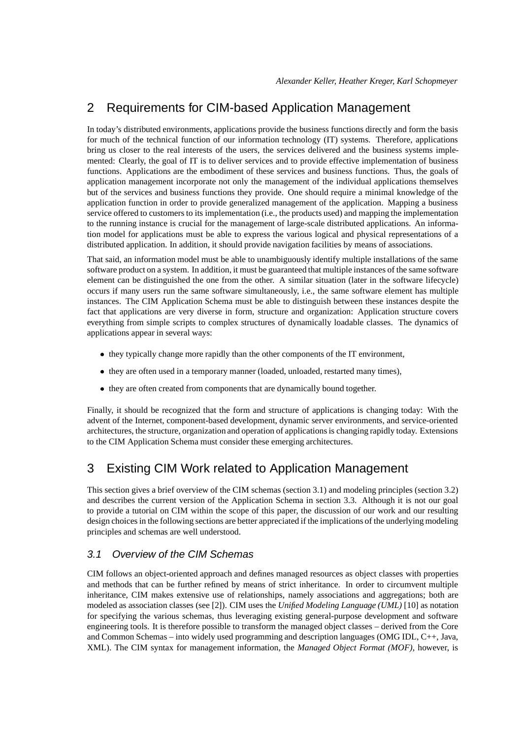## 2 Requirements for CIM-based Application Management

In today's distributed environments, applications provide the business functions directly and form the basis for much of the technical function of our information technology (IT) systems. Therefore, applications bring us closer to the real interests of the users, the services delivered and the business systems implemented: Clearly, the goal of IT is to deliver services and to provide effective implementation of business functions. Applications are the embodiment of these services and business functions. Thus, the goals of application management incorporate not only the management of the individual applications themselves but of the services and business functions they provide. One should require a minimal knowledge of the application function in order to provide generalized management of the application. Mapping a business service offered to customers to its implementation (i.e., the products used) and mapping the implementation to the running instance is crucial for the management of large-scale distributed applications. An information model for applications must be able to express the various logical and physical representations of a distributed application. In addition, it should provide navigation facilities by means of associations.

That said, an information model must be able to unambiguously identify multiple installations of the same software product on a system. In addition, it must be guaranteed that multiple instances of the same software element can be distinguished the one from the other. A similar situation (later in the software lifecycle) occurs if many users run the same software simultaneously, i.e., the same software element has multiple instances. The CIM Application Schema must be able to distinguish between these instances despite the fact that applications are very diverse in form, structure and organization: Application structure covers everything from simple scripts to complex structures of dynamically loadable classes. The dynamics of applications appear in several ways:

- they typically change more rapidly than the other components of the IT environment,
- they are often used in a temporary manner (loaded, unloaded, restarted many times),
- they are often created from components that are dynamically bound together.

Finally, it should be recognized that the form and structure of applications is changing today: With the advent of the Internet, component-based development, dynamic server environments, and service-oriented architectures, the structure, organization and operation of applications is changing rapidly today. Extensions to the CIM Application Schema must consider these emerging architectures.

## 3 Existing CIM Work related to Application Management

This section gives a brief overview of the CIM schemas (section 3.1) and modeling principles (section 3.2) and describes the current version of the Application Schema in section 3.3. Although it is not our goal to provide a tutorial on CIM within the scope of this paper, the discussion of our work and our resulting design choices in the following sections are better appreciated if the implications of the underlying modeling principles and schemas are well understood.

## 3.1 Overview of the CIM Schemas

CIM follows an object-oriented approach and defines managed resources as object classes with properties and methods that can be further refined by means of strict inheritance. In order to circumvent multiple inheritance, CIM makes extensive use of relationships, namely associations and aggregations; both are modeled as association classes (see [2]). CIM uses the *Unified Modeling Language (UML)* [10] as notation for specifying the various schemas, thus leveraging existing general-purpose development and software engineering tools. It is therefore possible to transform the managed object classes – derived from the Core and Common Schemas – into widely used programming and description languages (OMG IDL, C++, Java, XML). The CIM syntax for management information, the *Managed Object Format (MOF)*, however, is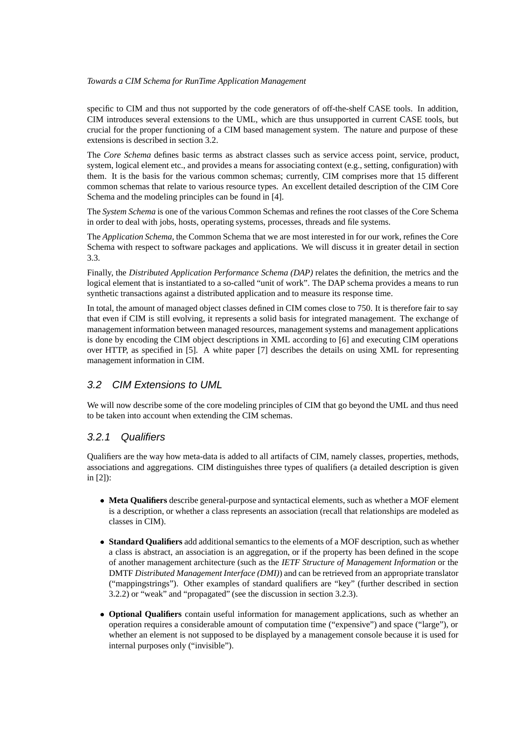specific to CIM and thus not supported by the code generators of off-the-shelf CASE tools. In addition, CIM introduces several extensions to the UML, which are thus unsupported in current CASE tools, but crucial for the proper functioning of a CIM based management system. The nature and purpose of these extensions is described in section 3.2.

The *Core Schema* defines basic terms as abstract classes such as service access point, service, product, system, logical element etc., and provides a means for associating context (e.g., setting, configuration) with them. It is the basis for the various common schemas; currently, CIM comprises more that 15 different common schemas that relate to various resource types. An excellent detailed description of the CIM Core Schema and the modeling principles can be found in [4].

The *System Schema* is one of the various Common Schemas and refines the root classes of the Core Schema in order to deal with jobs, hosts, operating systems, processes, threads and file systems.

The *Application Schema*, the Common Schema that we are most interested in for our work, refines the Core Schema with respect to software packages and applications. We will discuss it in greater detail in section 3.3.

Finally, the *Distributed Application Performance Schema (DAP)* relates the definition, the metrics and the logical element that is instantiated to a so-called "unit of work". The DAP schema provides a means to run synthetic transactions against a distributed application and to measure its response time.

In total, the amount of managed object classes defined in CIM comes close to 750. It is therefore fair to say that even if CIM is still evolving, it represents a solid basis for integrated management. The exchange of management information between managed resources, management systems and management applications is done by encoding the CIM object descriptions in XML according to [6] and executing CIM operations over HTTP, as specified in [5]. A white paper [7] describes the details on using XML for representing management information in CIM.

#### 3.2 CIM Extensions to UML

We will now describe some of the core modeling principles of CIM that go beyond the UML and thus need to be taken into account when extending the CIM schemas.

#### 3.2.1 Qualifiers

Qualifiers are the way how meta-data is added to all artifacts of CIM, namely classes, properties, methods, associations and aggregations. CIM distinguishes three types of qualifiers (a detailed description is given in [2]):

- **Meta Qualifiers** describe general-purpose and syntactical elements, such as whether a MOF element is a description, or whether a class represents an association (recall that relationships are modeled as classes in CIM).
- **Standard Qualifiers** add additional semantics to the elements of a MOF description, such as whether a class is abstract, an association is an aggregation, or if the property has been defined in the scope of another management architecture (such as the *IETF Structure of Management Information* or the DMTF *Distributed Management Interface (DMI)*) and can be retrieved from an appropriate translator ("mappingstrings"). Other examples of standard qualifiers are "key" (further described in section 3.2.2) or "weak" and "propagated" (see the discussion in section 3.2.3).
- **Optional Qualifiers** contain useful information for management applications, such as whether an operation requires a considerable amount of computation time ("expensive") and space ("large"), or whether an element is not supposed to be displayed by a management console because it is used for internal purposes only ("invisible").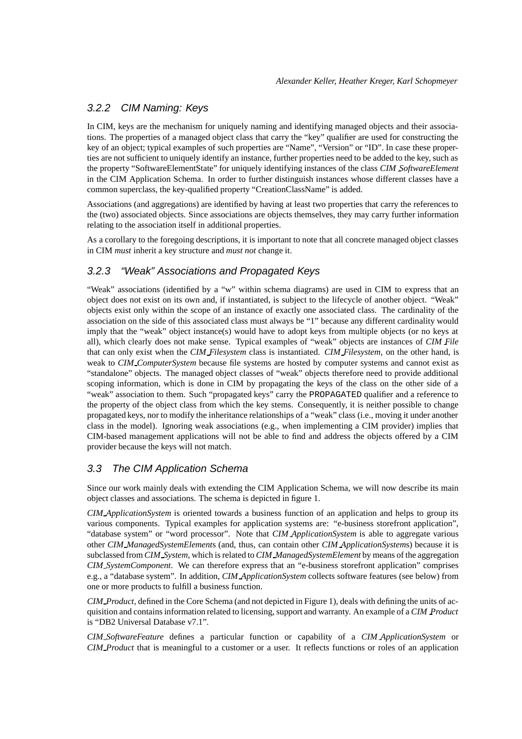## 3.2.2 CIM Naming: Keys

In CIM, keys are the mechanism for uniquely naming and identifying managed objects and their associations. The properties of a managed object class that carry the "key" qualifier are used for constructing the key of an object; typical examples of such properties are "Name", "Version" or "ID". In case these properties are not sufficient to uniquely identify an instance, further properties need to be added to the key, such as the property "SoftwareElementState" for uniquely identifying instances of the class *CIM SoftwareElement* in the CIM Application Schema. In order to further distinguish instances whose different classes have a common superclass, the key-qualified property "CreationClassName" is added.

Associations (and aggregations) are identified by having at least two properties that carry the references to the (two) associated objects. Since associations are objects themselves, they may carry further information relating to the association itself in additional properties.

As a corollary to the foregoing descriptions, it is important to note that all concrete managed object classes in CIM *must* inherit a key structure and *must not* change it.

## 3.2.3 "Weak" Associations and Propagated Keys

"Weak" associations (identified by a "w" within schema diagrams) are used in CIM to express that an object does not exist on its own and, if instantiated, is subject to the lifecycle of another object. "Weak" objects exist only within the scope of an instance of exactly one associated class. The cardinality of the association on the side of this associated class must always be "1" because any different cardinality would imply that the "weak" object instance(s) would have to adopt keys from multiple objects (or no keys at all), which clearly does not make sense. Typical examples of "weak" objects are instances of *CIM File* that can only exist when the *CIM Filesystem* class is instantiated. *CIM Filesystem*, on the other hand, is weak to *CIM ComputerSystem* because file systems are hosted by computer systems and cannot exist as "standalone" objects. The managed object classes of "weak" objects therefore need to provide additional scoping information, which is done in CIM by propagating the keys of the class on the other side of a "weak" association to them. Such "propagated keys" carry the PROPAGATED qualifier and a reference to the property of the object class from which the key stems. Consequently, it is neither possible to change propagated keys, nor to modify the inheritance relationships of a "weak" class (i.e., moving it under another class in the model). Ignoring weak associations (e.g., when implementing a CIM provider) implies that CIM-based management applications will not be able to find and address the objects offered by a CIM provider because the keys will not match.

## 3.3 The CIM Application Schema

Since our work mainly deals with extending the CIM Application Schema, we will now describe its main object classes and associations. The schema is depicted in figure 1.

*CIM ApplicationSystem* is oriented towards a business function of an application and helps to group its various components. Typical examples for application systems are: "e-business storefront application", "database system" or "word processor". Note that *CIM ApplicationSystem* is able to aggregate various other *CIM ManagedSystemElement*s (and, thus, can contain other *CIM ApplicationSystem*s) because it is subclassed from *CIM System*, which is related to *CIM ManagedSystemElement* by means of the aggregation *CIM SystemComponent*. We can therefore express that an "e-business storefront application" comprises e.g., a "database system". In addition, *CIM ApplicationSystem* collects software features (see below) from one or more products to fulfill a business function.

*CIM Product*, defined in the Core Schema (and not depicted in Figure 1), deals with defining the units of acquisition and contains information related to licensing, support and warranty. An example of a *CIM Product* is "DB2 Universal Database v7.1".

*CIM SoftwareFeature* defines a particular function or capability of a *CIM ApplicationSystem* or *CIM Product* that is meaningful to a customer or a user. It reflects functions or roles of an application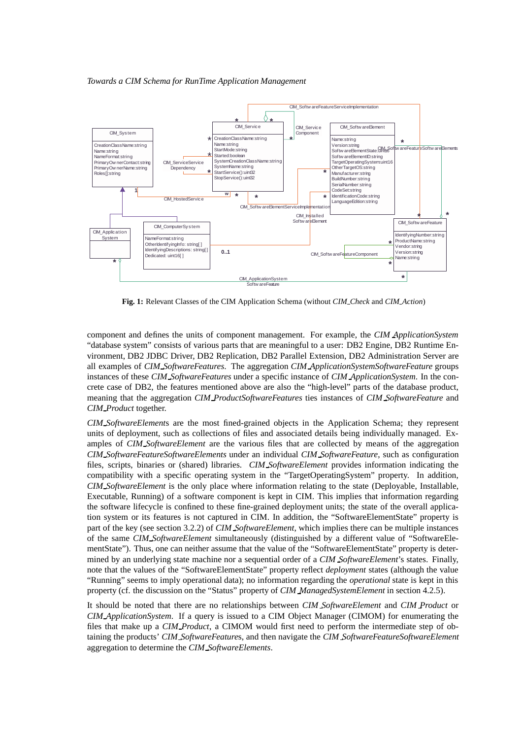

**Fig. 1:** Relevant Classes of the CIM Application Schema (without *CIM Check* and *CIM Action*)

component and defines the units of component management. For example, the *CIM ApplicationSystem* "database system" consists of various parts that are meaningful to a user: DB2 Engine, DB2 Runtime Environment, DB2 JDBC Driver, DB2 Replication, DB2 Parallel Extension, DB2 Administration Server are all examples of *CIM SoftwareFeatures*. The aggregation *CIM ApplicationSystemSoftwareFeature* groups instances of these *CIM SoftwareFeatures* under a specific instance of *CIM ApplicationSystem*. In the concrete case of DB2, the features mentioned above are also the "high-level" parts of the database product, meaning that the aggregation *CIM ProductSoftwareFeatures* ties instances of *CIM SoftwareFeature* and *CIM Product* together.

*CIM SoftwareElement*s are the most fined-grained objects in the Application Schema; they represent units of deployment, such as collections of files and associated details being individually managed. Examples of *CIM SoftwareElement* are the various files that are collected by means of the aggregation *CIM SoftwareFeatureSoftwareElements* under an individual *CIM SoftwareFeature*, such as configuration files, scripts, binaries or (shared) libraries. *CIM SoftwareElement* provides information indicating the compatibility with a specific operating system in the "TargetOperatingSystem" property. In addition, *CIM SoftwareElement* is the only place where information relating to the state (Deployable, Installable, Executable, Running) of a software component is kept in CIM. This implies that information regarding the software lifecycle is confined to these fine-grained deployment units; the state of the overall application system or its features is not captured in CIM. In addition, the "SoftwareElementState" property is part of the key (see section 3.2.2) of *CIM SoftwareElement*, which implies there can be multiple instances of the same *CIM SoftwareElement* simultaneously (distinguished by a different value of "SoftwareElementState"). Thus, one can neither assume that the value of the "SoftwareElementState" property is determined by an underlying state machine nor a sequential order of a *CIM SoftwareElement*'s states. Finally, note that the values of the "SoftwareElementState" property reflect *deployment* states (although the value "Running" seems to imply operational data); no information regarding the *operational* state is kept in this property (cf. the discussion on the "Status" property of *CIM ManagedSystemElement* in section 4.2.5).

It should be noted that there are no relationships between *CIM SoftwareElement* and *CIM Product* or *CIM ApplicationSystem*. If a query is issued to a CIM Object Manager (CIMOM) for enumerating the files that make up a *CIM Product*, a CIMOM would first need to perform the intermediate step of obtaining the products' *CIM SoftwareFeature*s, and then navigate the *CIM SoftwareFeatureSoftwareElement* aggregation to determine the *CIM SoftwareElements*.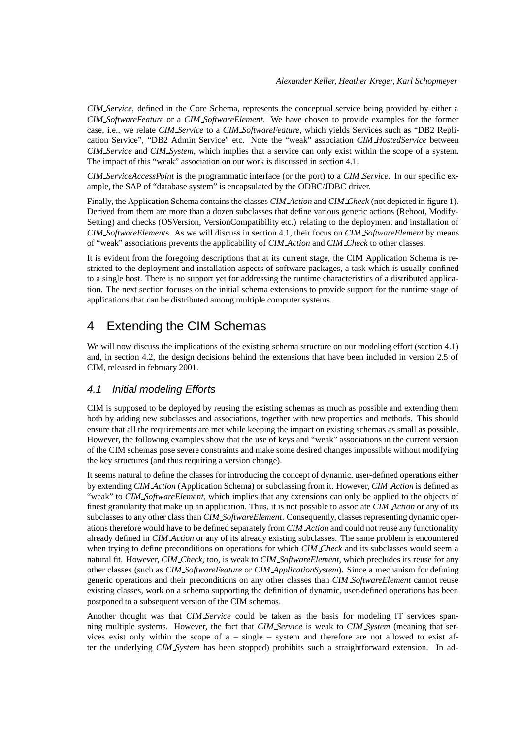*CIM Service*, defined in the Core Schema, represents the conceptual service being provided by either a *CIM SoftwareFeature* or a *CIM SoftwareElement*. We have chosen to provide examples for the former case, i.e., we relate *CIM Service* to a *CIM SoftwareFeature*, which yields Services such as "DB2 Replication Service", "DB2 Admin Service" etc. Note the "weak" association *CIM HostedService* between *CIM Service* and *CIM System*, which implies that a service can only exist within the scope of a system. The impact of this "weak" association on our work is discussed in section 4.1.

*CIM ServiceAccessPoint* is the programmatic interface (or the port) to a *CIM Service*. In our specific example, the SAP of "database system" is encapsulated by the ODBC/JDBC driver.

Finally, the Application Schema contains the classes *CIM Action* and *CIM Check* (not depicted in figure 1). Derived from them are more than a dozen subclasses that define various generic actions (Reboot, Modify-Setting) and checks (OSVersion, VersionCompatibility etc.) relating to the deployment and installation of *CIM SoftwareElement*s. As we will discuss in section 4.1, their focus on *CIM SoftwareElement* by means of "weak" associations prevents the applicability of *CIM Action* and *CIM Check* to other classes.

It is evident from the foregoing descriptions that at its current stage, the CIM Application Schema is restricted to the deployment and installation aspects of software packages, a task which is usually confined to a single host. There is no support yet for addressing the runtime characteristics of a distributed application. The next section focuses on the initial schema extensions to provide support for the runtime stage of applications that can be distributed among multiple computer systems.

## 4 Extending the CIM Schemas

We will now discuss the implications of the existing schema structure on our modeling effort (section 4.1) and, in section 4.2, the design decisions behind the extensions that have been included in version 2.5 of CIM, released in february 2001.

#### 4.1 Initial modeling Efforts

CIM is supposed to be deployed by reusing the existing schemas as much as possible and extending them both by adding new subclasses and associations, together with new properties and methods. This should ensure that all the requirements are met while keeping the impact on existing schemas as small as possible. However, the following examples show that the use of keys and "weak" associations in the current version of the CIM schemas pose severe constraints and make some desired changes impossible without modifying the key structures (and thus requiring a version change).

It seems natural to define the classes for introducing the concept of dynamic, user-defined operations either by extending *CIM Action* (Application Schema) or subclassing from it. However, *CIM Action* is defined as "weak" to *CIM SoftwareElement*, which implies that any extensions can only be applied to the objects of finest granularity that make up an application. Thus, it is not possible to associate *CIM Action* or any of its subclasses to any other class than *CIM SoftwareElement*. Consequently, classes representing dynamic operations therefore would have to be defined separately from *CIM Action* and could not reuse any functionality already defined in *CIM Action* or any of its already existing subclasses. The same problem is encountered when trying to define preconditions on operations for which *CIM Check* and its subclasses would seem a natural fit. However, *CIM Check*, too, is weak to *CIM SoftwareElement*, which precludes its reuse for any other classes (such as *CIM SoftwareFeature* or *CIM ApplicationSystem*). Since a mechanism for defining generic operations and their preconditions on any other classes than *CIM SoftwareElement* cannot reuse existing classes, work on a schema supporting the definition of dynamic, user-defined operations has been postponed to a subsequent version of the CIM schemas.

Another thought was that *CIM Service* could be taken as the basis for modeling IT services spanning multiple systems. However, the fact that *CIM Service* is weak to *CIM System* (meaning that services exist only within the scope of  $a - single - system$  and therefore are not allowed to exist after the underlying *CIM System* has been stopped) prohibits such a straightforward extension. In ad-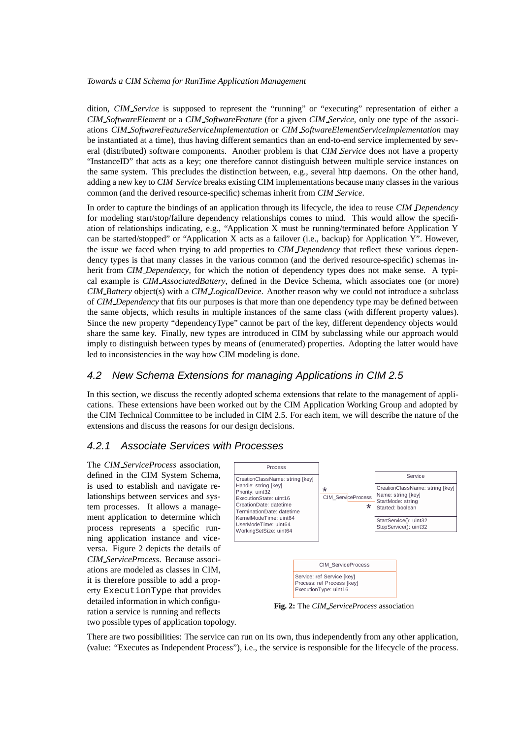dition, *CIM Service* is supposed to represent the "running" or "executing" representation of either a *CIM SoftwareElement* or a *CIM SoftwareFeature* (for a given *CIM Service*, only one type of the associations *CIM SoftwareFeatureServiceImplementation* or *CIM SoftwareElementServiceImplementation* may be instantiated at a time), thus having different semantics than an end-to-end service implemented by several (distributed) software components. Another problem is that *CIM Service* does not have a property "InstanceID" that acts as a key; one therefore cannot distinguish between multiple service instances on the same system. This precludes the distinction between, e.g., several http daemons. On the other hand, adding a new key to *CIM Service* breaks existing CIM implementations because many classes in the various common (and the derived resource-specific) schemas inherit from *CIM Service*.

In order to capture the bindings of an application through its lifecycle, the idea to reuse *CIM Dependency* for modeling start/stop/failure dependency relationships comes to mind. This would allow the specifiation of relationships indicating, e.g., "Application X must be running/terminated before Application Y can be started/stopped" or "Application X acts as a failover (i.e., backup) for Application Y". However, the issue we faced when trying to add properties to *CIM Dependency* that reflect these various dependency types is that many classes in the various common (and the derived resource-specific) schemas inherit from *CIM Dependency*, for which the notion of dependency types does not make sense. A typical example is *CIM AssociatedBattery*, defined in the Device Schema, which associates one (or more) *CIM Battery* object(s) with a *CIM LogicalDevice*. Another reason why we could not introduce a subclass of *CIM Dependency* that fits our purposes is that more than one dependency type may be defined between the same objects, which results in multiple instances of the same class (with different property values). Since the new property "dependencyType" cannot be part of the key, different dependency objects would share the same key. Finally, new types are introduced in CIM by subclassing while our approach would imply to distinguish between types by means of (enumerated) properties. Adopting the latter would have led to inconsistencies in the way how CIM modeling is done.

## 4.2 New Schema Extensions for managing Applications in CIM 2.5

In this section, we discuss the recently adopted schema extensions that relate to the management of applications. These extensions have been worked out by the CIM Application Working Group and adopted by the CIM Technical Committee to be included in CIM 2.5. For each item, we will describe the nature of the extensions and discuss the reasons for our design decisions.

## 4.2.1 Associate Services with Processes

The *CIM ServiceProcess* association, defined in the CIM System Schema, is used to establish and navigate relationships between services and system processes. It allows a management application to determine which process represents a specific running application instance and viceversa. Figure 2 depicts the details of *CIM ServiceProcess*. Because associations are modeled as classes in CIM, it is therefore possible to add a property ExecutionType that provides detailed information in which configuration a service is running and reflects two possible types of application topology.



**Fig. 2:** The *CIM ServiceProcess* association

There are two possibilities: The service can run on its own, thus independently from any other application, (value: "Executes as Independent Process"), i.e., the service is responsible for the lifecycle of the process.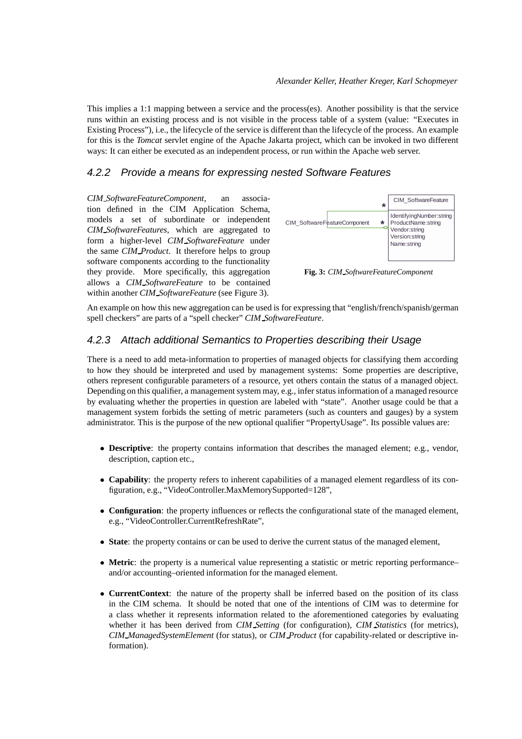This implies a 1:1 mapping between a service and the process(es). Another possibility is that the service runs within an existing process and is not visible in the process table of a system (value: "Executes in Existing Process"), i.e., the lifecycle of the service is different than the lifecycle of the process. An example for this is the *Tomcat* servlet engine of the Apache Jakarta project, which can be invoked in two different ways: It can either be executed as an independent process, or run within the Apache web server.

## 4.2.2 Provide a means for expressing nested Software Features

*CIM SoftwareFeatureComponent*, an association defined in the CIM Application Schema, models a set of subordinate or independent *CIM SoftwareFeatures*, which are aggregated to form a higher-level *CIM SoftwareFeature* under the same *CIM Product*. It therefore helps to group software components according to the functionality they provide. More specifically, this aggregation allows a *CIM SoftwareFeature* to be contained within another *CIM SoftwareFeature* (see Figure 3).



**Fig. 3:** *CIM SoftwareFeatureComponent*

An example on how this new aggregation can be used is for expressing that "english/french/spanish/german spell checkers" are parts of a "spell checker" *CIM SoftwareFeature*.

### 4.2.3 Attach additional Semantics to Properties describing their Usage

There is a need to add meta-information to properties of managed objects for classifying them according to how they should be interpreted and used by management systems: Some properties are descriptive, others represent configurable parameters of a resource, yet others contain the status of a managed object. Depending on this qualifier, a management system may, e.g., infer status information of a managed resource by evaluating whether the properties in question are labeled with "state". Another usage could be that a management system forbids the setting of metric parameters (such as counters and gauges) by a system administrator. This is the purpose of the new optional qualifier "PropertyUsage". Its possible values are:

- **Descriptive**: the property contains information that describes the managed element; e.g., vendor, description, caption etc.,
- **Capability**: the property refers to inherent capabilities of a managed element regardless of its configuration, e.g., "VideoController.MaxMemorySupported=128",
- **Configuration**: the property influences or reflects the configurational state of the managed element, e.g., "VideoController.CurrentRefreshRate",
- **State**: the property contains or can be used to derive the current status of the managed element,
- **Metric**: the property is a numerical value representing a statistic or metric reporting performance– and/or accounting–oriented information for the managed element.
- **CurrentContext**: the nature of the property shall be inferred based on the position of its class in the CIM schema. It should be noted that one of the intentions of CIM was to determine for a class whether it represents information related to the aforementioned categories by evaluating whether it has been derived from *CIM Setting* (for configuration), *CIM Statistics* (for metrics), *CIM ManagedSystemElement* (for status), or *CIM Product* (for capability-related or descriptive information).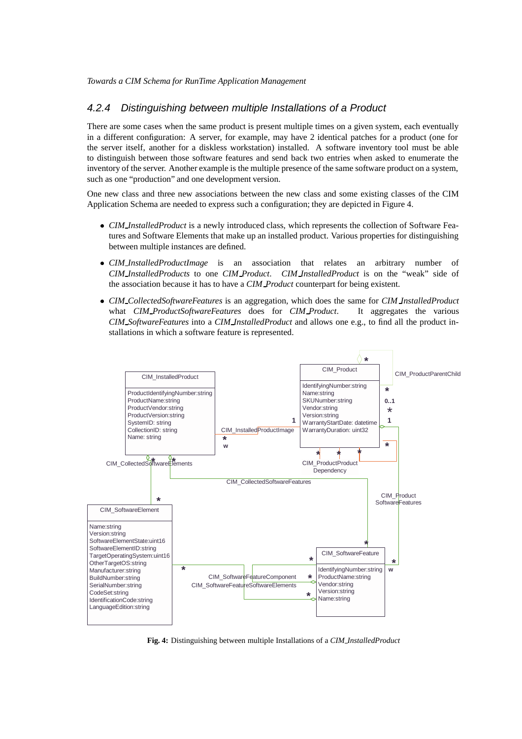### 4.2.4 Distinguishing between multiple Installations of a Product

There are some cases when the same product is present multiple times on a given system, each eventually in a different configuration: A server, for example, may have 2 identical patches for a product (one for the server itself, another for a diskless workstation) installed. A software inventory tool must be able to distinguish between those software features and send back two entries when asked to enumerate the inventory of the server. Another example is the multiple presence of the same software product on a system, such as one "production" and one development version.

One new class and three new associations between the new class and some existing classes of the CIM Application Schema are needed to express such a configuration; they are depicted in Figure 4.

- *CIM InstalledProduct* is a newly introduced class, which represents the collection of Software Features and Software Elements that make up an installed product. Various properties for distinguishing between multiple instances are defined.
- *CIM InstalledProductImage* is an association that relates an arbitrary number of *CIM InstalledProducts* to one *CIM Product*. *CIM InstalledProduct* is on the "weak" side of the association because it has to have a *CIM Product* counterpart for being existent.
- *CIM CollectedSoftwareFeatures* is an aggregation, which does the same for *CIM InstalledProduct* what *CIM ProductSoftwareFeatures* does for *CIM Product*. It aggregates the various *CIM SoftwareFeatures* into a *CIM InstalledProduct* and allows one e.g., to find all the product installations in which a software feature is represented.



**Fig. 4:** Distinguishing between multiple Installations of a *CIM InstalledProduct*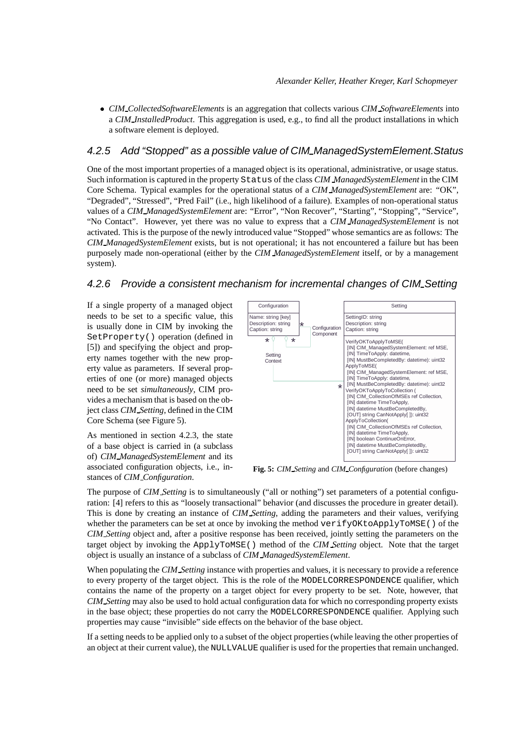*CIM CollectedSoftwareElements* is an aggregation that collects various *CIM SoftwareElements* into a *CIM InstalledProduct*. This aggregation is used, e.g., to find all the product installations in which a software element is deployed.

### 4.2.5 Add "Stopped" as a possible value of CIM ManagedSystemElement.Status

One of the most important properties of a managed object is its operational, administrative, or usage status. Such information is captured in the property Status of the class *CIM ManagedSystemElement* in the CIM Core Schema. Typical examples for the operational status of a *CIM ManagedSystemElement* are: "OK", "Degraded", "Stressed", "Pred Fail" (i.e., high likelihood of a failure). Examples of non-operational status values of a *CIM ManagedSystemElement* are: "Error", "Non Recover", "Starting", "Stopping", "Service", "No Contact". However, yet there was no value to express that a *CIM ManagedSystemElement* is not activated. This is the purpose of the newly introduced value "Stopped" whose semantics are as follows: The *CIM ManagedSystemElement* exists, but is not operational; it has not encountered a failure but has been purposely made non-operational (either by the *CIM ManagedSystemElement* itself, or by a management system).

### 4.2.6 Provide a consistent mechanism for incremental changes of CIM Setting

If a single property of a managed object needs to be set to a specific value, this is usually done in CIM by invoking the SetProperty() operation (defined in [5]) and specifying the object and property names together with the new property value as parameters. If several properties of one (or more) managed objects need to be set *simultaneously*, CIM provides a mechanism that is based on the object class *CIM Setting*, defined in the CIM Core Schema (see Figure 5).

As mentioned in section 4.2.3, the state of a base object is carried in (a subclass of) *CIM ManagedSystemElement* and its associated configuration objects, i.e., instances of *CIM Configuration*.



**Fig. 5:** *CIM Setting* and *CIM Configuration* (before changes)

The purpose of *CIM Setting* is to simultaneously ("all or nothing") set parameters of a potential configuration: [4] refers to this as "loosely transactional" behavior (and discusses the procedure in greater detail). This is done by creating an instance of *CIM Setting*, adding the parameters and their values, verifying whether the parameters can be set at once by invoking the method verifyOKtoApplyToMSE() of the *CIM Setting* object and, after a positive response has been received, jointly setting the parameters on the target object by invoking the ApplyToMSE() method of the *CIM Setting* object. Note that the target object is usually an instance of a subclass of *CIM ManagedSystemElement*.

When populating the *CIM Setting* instance with properties and values, it is necessary to provide a reference to every property of the target object. This is the role of the MODELCORRESPONDENCE qualifier, which contains the name of the property on a target object for every property to be set. Note, however, that *CIM Setting* may also be used to hold actual configuration data for which no corresponding property exists in the base object; these properties do not carry the MODELCORRESPONDENCE qualifier. Applying such properties may cause "invisible" side effects on the behavior of the base object.

If a setting needs to be applied only to a subset of the object properties (while leaving the other properties of an object at their current value), the NULLVALUE qualifier is used for the properties that remain unchanged.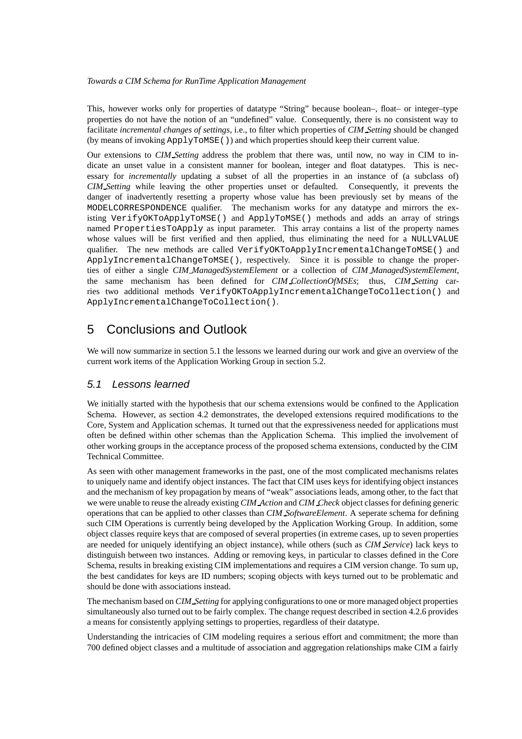This, however works only for properties of datatype "String" because boolean–, float– or integer–type properties do not have the notion of an "undefined" value. Consequently, there is no consistent way to facilitate *incremental changes of settings*, i.e., to filter which properties of *CIM Setting* should be changed (by means of invoking ApplyToMSE()) and which properties should keep their current value.

Our extensions to *CIM Setting* address the problem that there was, until now, no way in CIM to indicate an unset value in a consistent manner for boolean, integer and float datatypes. This is necessary for *incrementally* updating a subset of all the properties in an instance of (a subclass of) *CIM Setting* while leaving the other properties unset or defaulted. Consequently, it prevents the danger of inadvertently resetting a property whose value has been previously set by means of the MODELCORRESPONDENCE qualifier. The mechanism works for any datatype and mirrors the existing VerifyOKToApplyToMSE() and ApplyToMSE() methods and adds an array of strings named PropertiesToApply as input parameter. This array contains a list of the property names whose values will be first verified and then applied, thus eliminating the need for a NULLVALUE qualifier. The new methods are called VerifyOKToApplyIncrementalChangeToMSE() and ApplyIncrementalChangeToMSE(), respectively. Since it is possible to change the properties of either a single *CIM ManagedSystemElement* or a collection of *CIM ManagedSystemElement*, the same mechanism has been defined for *CIM CollectionOfMSEs*; thus, *CIM Setting* carries two additional methods VerifyOKToApplyIncrementalChangeToCollection() and ApplyIncrementalChangeToCollection().

## 5 Conclusions and Outlook

We will now summarize in section 5.1 the lessons we learned during our work and give an overview of the current work items of the Application Working Group in section 5.2.

## 5.1 Lessons learned

We initially started with the hypothesis that our schema extensions would be confined to the Application Schema. However, as section 4.2 demonstrates, the developed extensions required modifications to the Core, System and Application schemas. It turned out that the expressiveness needed for applications must often be defined within other schemas than the Application Schema. This implied the involvement of other working groups in the acceptance process of the proposed schema extensions, conducted by the CIM Technical Committee.

As seen with other management frameworks in the past, one of the most complicated mechanisms relates to uniquely name and identify object instances. The fact that CIM uses keys for identifying object instances and the mechanism of key propagation by means of "weak" associations leads, among other, to the fact that we were unable to reuse the already existing *CIM Action* and *CIM Check* object classes for defining generic operations that can be applied to other classes than *CIM SoftwareElement*. A seperate schema for defining such CIM Operations is currently being developed by the Application Working Group. In addition, some object classes require keys that are composed of several properties (in extreme cases, up to seven properties are needed for uniquely identifying an object instance), while others (such as *CIM Service*) lack keys to distinguish between two instances. Adding or removing keys, in particular to classes defined in the Core Schema, results in breaking existing CIM implementations and requires a CIM version change. To sum up, the best candidates for keys are ID numbers; scoping objects with keys turned out to be problematic and should be done with associations instead.

The mechanism based on *CIM Setting* for applying configurations to one or more managed object properties simultaneously also turned out to be fairly complex. The change request described in section 4.2.6 provides a means for consistently applying settings to properties, regardless of their datatype.

Understanding the intricacies of CIM modeling requires a serious effort and commitment; the more than 700 defined object classes and a multitude of association and aggregation relationships make CIM a fairly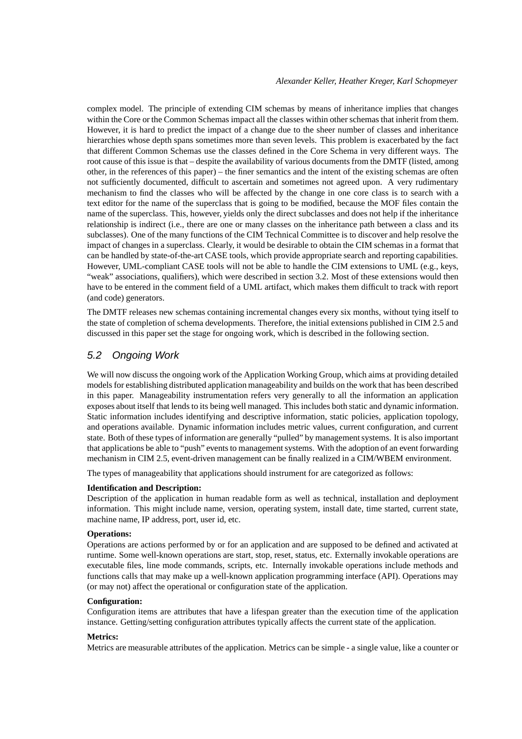complex model. The principle of extending CIM schemas by means of inheritance implies that changes within the Core or the Common Schemas impact all the classes within other schemas that inherit from them. However, it is hard to predict the impact of a change due to the sheer number of classes and inheritance hierarchies whose depth spans sometimes more than seven levels. This problem is exacerbated by the fact that different Common Schemas use the classes defined in the Core Schema in very different ways. The root cause of this issue is that – despite the availability of various documents from the DMTF (listed, among other, in the references of this paper) – the finer semantics and the intent of the existing schemas are often not sufficiently documented, difficult to ascertain and sometimes not agreed upon. A very rudimentary mechanism to find the classes who will be affected by the change in one core class is to search with a text editor for the name of the superclass that is going to be modified, because the MOF files contain the name of the superclass. This, however, yields only the direct subclasses and does not help if the inheritance relationship is indirect (i.e., there are one or many classes on the inheritance path between a class and its subclasses). One of the many functions of the CIM Technical Committee is to discover and help resolve the impact of changes in a superclass. Clearly, it would be desirable to obtain the CIM schemas in a format that can be handled by state-of-the-art CASE tools, which provide appropriate search and reporting capabilities. However, UML-compliant CASE tools will not be able to handle the CIM extensions to UML (e.g., keys, "weak" associations, qualifiers), which were described in section 3.2. Most of these extensions would then have to be entered in the comment field of a UML artifact, which makes them difficult to track with report (and code) generators.

The DMTF releases new schemas containing incremental changes every six months, without tying itself to the state of completion of schema developments. Therefore, the initial extensions published in CIM 2.5 and discussed in this paper set the stage for ongoing work, which is described in the following section.

### 5.2 Ongoing Work

We will now discuss the ongoing work of the Application Working Group, which aims at providing detailed models for establishing distributed application manageability and builds on the work that has been described in this paper. Manageability instrumentation refers very generally to all the information an application exposes about itself that lends to its being well managed. This includes both static and dynamic information. Static information includes identifying and descriptive information, static policies, application topology, and operations available. Dynamic information includes metric values, current configuration, and current state. Both of these types of information are generally "pulled" by management systems. It is also important that applications be able to "push" events to management systems. With the adoption of an event forwarding mechanism in CIM 2.5, event-driven management can be finally realized in a CIM/WBEM environment.

The types of manageability that applications should instrument for are categorized as follows:

#### **Identification and Description:**

Description of the application in human readable form as well as technical, installation and deployment information. This might include name, version, operating system, install date, time started, current state, machine name, IP address, port, user id, etc.

#### **Operations:**

Operations are actions performed by or for an application and are supposed to be defined and activated at runtime. Some well-known operations are start, stop, reset, status, etc. Externally invokable operations are executable files, line mode commands, scripts, etc. Internally invokable operations include methods and functions calls that may make up a well-known application programming interface (API). Operations may (or may not) affect the operational or configuration state of the application.

#### **Configuration:**

Configuration items are attributes that have a lifespan greater than the execution time of the application instance. Getting/setting configuration attributes typically affects the current state of the application.

#### **Metrics:**

Metrics are measurable attributes of the application. Metrics can be simple - a single value, like a counter or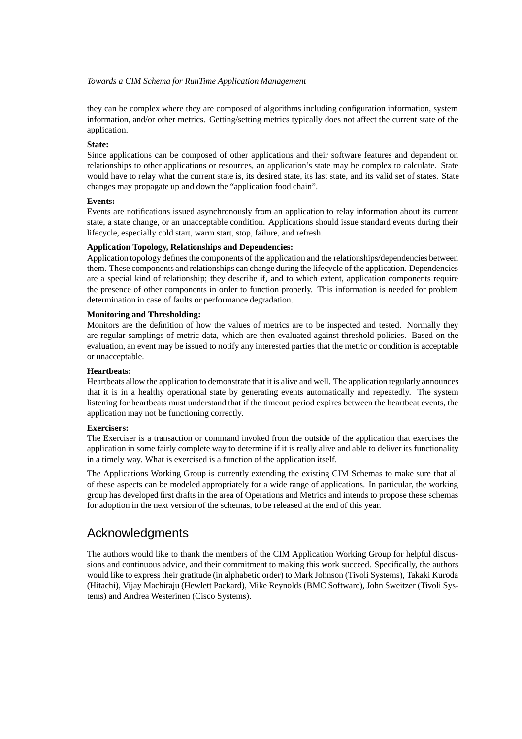they can be complex where they are composed of algorithms including configuration information, system information, and/or other metrics. Getting/setting metrics typically does not affect the current state of the application.

#### **State:**

Since applications can be composed of other applications and their software features and dependent on relationships to other applications or resources, an application's state may be complex to calculate. State would have to relay what the current state is, its desired state, its last state, and its valid set of states. State changes may propagate up and down the "application food chain".

#### **Events:**

Events are notifications issued asynchronously from an application to relay information about its current state, a state change, or an unacceptable condition. Applications should issue standard events during their lifecycle, especially cold start, warm start, stop, failure, and refresh.

#### **Application Topology, Relationships and Dependencies:**

Application topology defines the components of the application and the relationships/dependencies between them. These components and relationships can change during the lifecycle of the application. Dependencies are a special kind of relationship; they describe if, and to which extent, application components require the presence of other components in order to function properly. This information is needed for problem determination in case of faults or performance degradation.

#### **Monitoring and Thresholding:**

Monitors are the definition of how the values of metrics are to be inspected and tested. Normally they are regular samplings of metric data, which are then evaluated against threshold policies. Based on the evaluation, an event may be issued to notify any interested parties that the metric or condition is acceptable or unacceptable.

#### **Heartbeats:**

Heartbeats allow the application to demonstrate that it is alive and well. The application regularly announces that it is in a healthy operational state by generating events automatically and repeatedly. The system listening for heartbeats must understand that if the timeout period expires between the heartbeat events, the application may not be functioning correctly.

#### **Exercisers:**

The Exerciser is a transaction or command invoked from the outside of the application that exercises the application in some fairly complete way to determine if it is really alive and able to deliver its functionality in a timely way. What is exercised is a function of the application itself.

The Applications Working Group is currently extending the existing CIM Schemas to make sure that all of these aspects can be modeled appropriately for a wide range of applications. In particular, the working group has developed first drafts in the area of Operations and Metrics and intends to propose these schemas for adoption in the next version of the schemas, to be released at the end of this year.

## Acknowledgments

The authors would like to thank the members of the CIM Application Working Group for helpful discussions and continuous advice, and their commitment to making this work succeed. Specifically, the authors would like to express their gratitude (in alphabetic order) to Mark Johnson (Tivoli Systems), Takaki Kuroda (Hitachi), Vijay Machiraju (Hewlett Packard), Mike Reynolds (BMC Software), John Sweitzer (Tivoli Systems) and Andrea Westerinen (Cisco Systems).